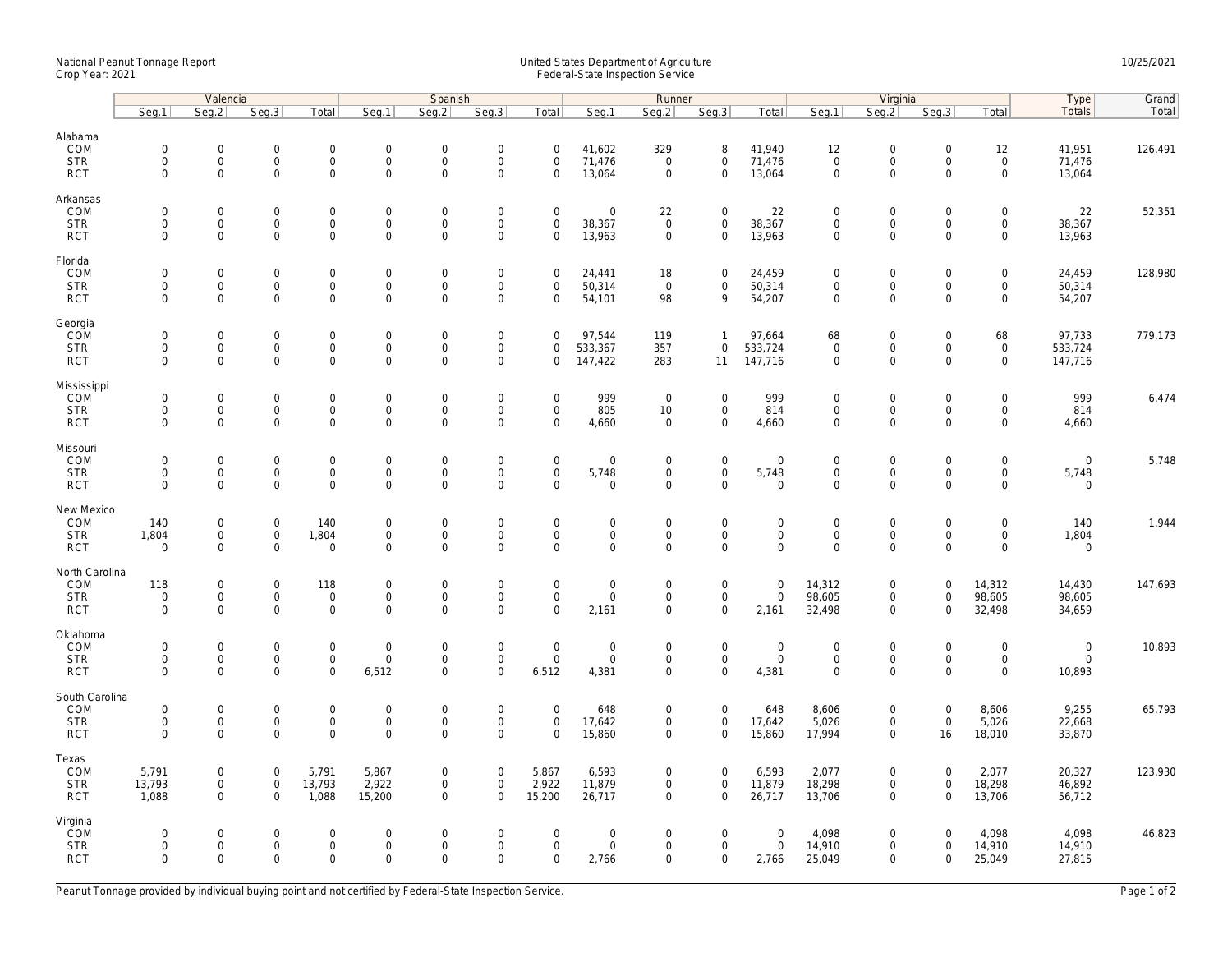## National Peanut Tonnage Report United States Department of Agriculture 10/25/2021<br>Crop Year: 2021 Federal-State Inspection Service

| Totals<br>Seq.3<br>Seq.1<br>Seq.2<br>Seg.3<br>Total<br>Seg.1<br>Seq.2<br>Seg.3<br>Total<br>Seg.1<br>Seg.2<br>Seg.3<br>Total<br>Seg.1<br>Seg.2<br>Total<br>Alabama<br>COM<br>$\mathsf{O}\xspace$<br>$\mathsf{O}\xspace$<br>$\mathsf{O}\xspace$<br>0<br>$\mathsf{O}\xspace$<br>$\overline{0}$<br>$\boldsymbol{0}$<br>$\mathbf 0$<br>41,602<br>329<br>8<br>41,940<br>12<br>$\mathbf 0$<br>$\mathsf{O}\xspace$<br>12<br>41,951<br>126,491<br>$\mathsf{O}\xspace$<br>$\mathsf{O}\xspace$<br>$\mathsf{O}\xspace$<br>$\mathsf{O}\xspace$<br>$\mathsf{O}\xspace$<br>71,476<br>$\mathbf{0}$<br>$\mathsf{O}\xspace$<br>71,476<br>71,476<br><b>STR</b><br>$\mathbf 0$<br>$\mathbf 0$<br>$\mathbf 0$<br>$\mathsf{O}$<br>$\mathbf 0$<br>$\mathbf 0$<br>$\mathbf 0$<br>$\Omega$<br>$\mathsf{O}$<br>$\mathsf 0$<br>$\mathsf 0$<br>$\mathsf{O}$<br>$\mathsf{O}\xspace$<br><b>RCT</b><br>$\mathsf{O}\xspace$<br>$\Omega$<br>$\mathbf 0$<br>0<br>$\mathbf 0$<br>13,064<br>$\mathbf 0$<br>13,064<br>$\mathbf 0$<br>$\mathsf{O}\xspace$<br>13,064<br>$\mathsf{O}\xspace$<br>$\boldsymbol{0}$<br>$\mathsf{O}\xspace$<br>22<br>52,351<br>COM<br>0<br>$\mathbf 0$<br>0<br>$\mathbf 0$<br>0<br>$\mathbf 0$<br>$\mathbf 0$<br>22<br>22<br>$\mathbf 0$<br>$\mathbf 0$<br>$\mathbf 0$<br>$\mathbf 0$<br><b>STR</b><br>$\mathsf{O}\xspace$<br>$\mathbf{0}$<br>$\mathsf{O}$<br>$\mathbf{0}$<br>$\mathsf{O}\xspace$<br>$\mathsf{O}\xspace$<br>38,367<br>$\mathbf{0}$<br>$\mathsf{O}\xspace$<br>38,367<br>$\mathbf{O}$<br>$\mathsf{O}$<br>$\mathbf 0$<br>$\mathsf{O}$<br>38,367<br>$\mathbf 0$<br>$\mathbf 0$<br>$\mathbf 0$<br>$\mathbf 0$<br>$\mathbf{O}$<br>$\mathbf{0}$<br>$\mathsf{O}\xspace$<br>$\mathbf 0$<br>13,963<br>$\mathbf 0$<br>13,963<br>$\mathbf 0$<br>$\mathbf 0$<br>$\mathbf 0$<br>13,963<br><b>RCT</b><br>$\mathbf 0$<br>$\mathbf{0}$<br>$\mathbf 0$<br>$\mathbf{0}$<br>Florida<br>COM<br>$\mathbf 0$<br>$\mathbf 0$<br>$\mathbf{0}$<br>$\mathbf 0$<br>$\mathbf 0$<br>$\mathsf{O}$<br>$\mathsf{O}\xspace$<br>$\mathsf{O}\xspace$<br>24,459<br>128,980<br>$\mathbf 0$<br>$\mathbf 0$<br>$\mathbf 0$<br>24,441<br>18<br>$\mathbf 0$<br>24,459<br>$\mathbf{0}$<br><b>STR</b><br>$\mathsf{O}\xspace$<br>$\mathbf 0$<br>0<br>$\mathsf{O}$<br>$\mathsf{O}\xspace$<br>50,314<br>$\mathsf 0$<br>0<br>50,314<br>$\mathsf{O}$<br>$\mathsf{O}\xspace$<br>$\mathsf{O}$<br>50,314<br>$\mathbf 0$<br>$\mathbf 0$<br>$\mathbf 0$<br>0<br><b>RCT</b><br>$\mathbf 0$<br>$\mathbf 0$<br>$\mathbf 0$<br>$\mathbf 0$<br>$\mathbf 0$<br>$\mathbf 0$<br>$\mathsf{O}\xspace$<br>$\mathbf 0$<br>54,101<br>98<br>9<br>54,207<br>$\mathbf 0$<br>$\mathbf 0$<br>$\mathbf 0$<br>$\mathbf 0$<br>54,207<br>Georgia<br>COM<br>$\mathbf 0$<br>779,173<br>$\mathsf{O}\xspace$<br>$\mathsf 0$<br>$\mathsf{O}\xspace$<br>0<br>$\mathbf 0$<br>0<br>$\mathbf 0$<br>97,544<br>119<br>$\mathbf{1}$<br>97,664<br>68<br>$\mathbf 0$<br>$\mathsf{O}\xspace$<br>68<br>97,733<br>$\mathsf{O}\xspace$<br>$\mathsf{O}\xspace$<br>533,367<br>533,724<br>$\mathsf{O}$<br>$\mathsf{O}$<br><b>STR</b><br>$\mathbf 0$<br>$\mathbf 0$<br>0<br>$\mathbf 0$<br>0<br>$\mathbf 0$<br>357<br>$\mathbf 0$<br>$\mathbf 0$<br>$\mathbf 0$<br>533,724<br>$\mathsf{O}\xspace$<br>$\mathsf{O}\xspace$<br>$\mathsf{O}$<br><b>RCT</b><br>$\mathbf 0$<br>$\mathbf 0$<br>$\mathbf 0$<br>283<br>147,716<br>$\mathbf 0$<br>$\mathbf 0$<br>$\mathbf 0$<br>$\mathbf{0}$<br>$\mathbf 0$<br>147,422<br>11<br>0<br>147,716<br>Mississippi<br>6,474<br>COM<br>$\mathsf{O}\xspace$<br>$\boldsymbol{0}$<br>$\mathbf 0$<br>999<br>$\mathsf{O}\xspace$<br>999<br>$\mathbf 0$<br>$\mathbf 0$<br>$\mathsf{O}\xspace$<br>999<br>$\mathbf 0$<br>$\mathbf 0$<br>0<br>$\mathbf 0$<br>$\mathbf 0$<br>$\overline{0}$<br>$\mathbf 0$<br>$\mathsf{O}\xspace$<br>$\mathsf{O}\xspace$<br>$\mathsf{O}\xspace$<br>$\mathsf{O}\xspace$<br>805<br>$\mathsf{O}\xspace$<br>814<br>$\mathsf{O}$<br><b>STR</b><br>$\mathsf{O}\xspace$<br>$\mathsf{O}\xspace$<br>$\mathsf{O}\xspace$<br>0<br>$\mathbf 0$<br>10<br>$\mathsf{O}\xspace$<br>$\mathsf{O}\xspace$<br>814<br><b>RCT</b><br>$\mathbf 0$<br>$\mathbf 0$<br>$\mathbf 0$<br>$\mathbf 0$<br>$\mathbf 0$<br>$\mathsf{O}$<br>$\mathbf 0$<br>$\mathbf 0$<br>$\mathbf 0$<br>4,660<br>$\mathbf 0$<br>$\mathbf 0$<br>$\mathbf 0$<br>4,660<br>$\mathbf 0$<br>$\mathbf{0}$<br>4,660<br>Missouri<br>5,748<br>COM<br>$\mathbf 0$<br>$\mathsf{O}\xspace$<br>$\mathsf{O}\xspace$<br>$\mathsf{O}\xspace$<br>$\boldsymbol{0}$<br>$\mathbf 0$<br>$\mathbf 0$<br>$\mathbf 0$<br>$\mathbf 0$<br>0<br>$\mathbf 0$<br>$\Omega$<br>$\mathbf 0$<br>$\mathbf 0$<br>$\mathbf{0}$<br>$\mathbf 0$<br>0<br>$\mathsf{O}\xspace$<br>$\mathsf{O}$<br>$\mathsf{O}\xspace$<br>$\mathsf{O}$<br>$\mathbf 0$<br>$\mathsf{O}\xspace$<br>$\mathsf{O}$<br><b>STR</b><br>$\mathsf{O}\xspace$<br>$\mathsf{O}\xspace$<br>$\mathbf 0$<br>0<br>5,748<br>$\mathbf 0$<br>5,748<br>$\mathbf 0$<br>$\mathbf 0$<br>5,748<br>$\mathbf 0$<br>$\mathsf{O}\xspace$<br>$\mathbf{0}$<br>$\mathbf 0$<br>$\mathbf 0$<br>$\mathbf 0$<br>$\mathbf 0$<br>$\mathbf 0$<br><b>RCT</b><br>$\mathbf 0$<br>$\mathbf 0$<br>$\mathbf 0$<br>$\mathsf{O}$<br>$\mathbf 0$<br>$\mathbf 0$<br>$\mathbf 0$<br>$\mathbf 0$<br>$\mathbf 0$<br>New Mexico<br>COM<br>$\mathbf 0$<br>$\mathbf 0$<br>$\mathbf 0$<br>$\mathsf{O}$<br>$\mathbf 0$<br>$\mathbf 0$<br>1,944<br>140<br>0<br>$\mathbf 0$<br>140<br>$\mathbf 0$<br>$\mathbf 0$<br>$\mathbf 0$<br>$\mathbf 0$<br>$\mathbf 0$<br>140<br>$\mathbf 0$<br><b>STR</b><br>1,804<br>$\mathsf{O}\xspace$<br>$\mathbf 0$<br>1,804<br>$\mathbf 0$<br>$\mathbf 0$<br>$\mathsf{O}\xspace$<br>$\mathbf 0$<br>$\mathbf 0$<br>$\mathbf 0$<br>$\mathbf 0$<br>$\mathbf 0$<br>$\mathsf{O}$<br>$\mathbf 0$<br>$\mathbf 0$<br>1,804<br>$\mathbf 0$<br>0<br>$\mathbf 0$<br>$\mathbf 0$<br>$\mathbf 0$<br>$\mathsf{O}\xspace$<br>$\mathbf 0$<br>$\mathbf 0$<br>$\mathsf{O}\xspace$<br><b>RCT</b><br>$\mathbf 0$<br>$\mathbf 0$<br>0<br>$\mathbf{0}$<br>0<br>$\mathbf 0$<br>$\mathbf 0$<br>$\mathbf 0$<br>$\mathbf 0$<br>North Carolina<br>COM<br>118<br>0<br>$\mathsf{O}\xspace$<br>118<br>0<br>$\boldsymbol{0}$<br>$\mathbf 0$<br>$\mathsf{O}\xspace$<br>$\mathsf{O}\xspace$<br>$\mathbf 0$<br>14,312<br>$\mathsf{O}$<br>$\mathbf 0$<br>14,312<br>14,430<br>147,693<br>$\mathbf 0$<br>$\mathbf 0$<br>$\mathsf{O}\xspace$<br>$\mathsf 0$<br>$\mathsf{O}$<br>98,605<br>$\mathsf{O}$<br>98,605<br><b>STR</b><br>$\mathbf 0$<br>$\mathbf 0$<br>0<br>$\mathbf 0$<br>$\mathbf 0$<br>$\mathbf 0$<br>$\mathbf 0$<br>$\mathbf 0$<br>$\mathbf 0$<br>$\mathbf 0$<br>98,605<br>$\Omega$<br>$\mathbf 0$<br>$\mathsf{O}\xspace$<br>$\mathsf{O}\xspace$<br>0<br>$\Omega$<br>$\Omega$<br>$\mathsf{O}\xspace$<br>32,498<br>$\mathsf 0$<br>32,498<br><b>RCT</b><br>$\mathbf 0$<br>0<br>2,161<br>2,161<br>$\mathbf 0$<br>34,659<br>COM<br>$\mathsf{O}\xspace$<br>$\boldsymbol{0}$<br>$\mathsf{O}\xspace$<br>$\boldsymbol{0}$<br>10,893<br>$\mathbf 0$<br>$\mathbf 0$<br>$\mathsf{O}\xspace$<br>0<br>$\mathbf 0$<br>$\mathsf{O}\xspace$<br>$\mathsf{O}\xspace$<br>$\mathbf 0$<br>$\mathbf 0$<br>0<br>$\mathbf 0$<br>$\mathbf 0$<br>$\mathbf 0$<br><b>STR</b><br>$\mathsf{O}\xspace$<br>$\mathbf{0}$<br>$\mathbf 0$<br>$\mathbf 0$<br>$\mathsf 0$<br>$\mathbf 0$<br>$\mathsf{O}$<br>$\mathsf{O}$<br>$\mathsf{O}$<br>$\mathbf 0$<br>$\mathbf 0$<br>$\mathbf 0$<br>$\mathbf 0$<br>$\mathbf 0$<br>$\mathsf 0$<br>$\mathbf 0$<br>$\mathbf 0$<br><b>RCT</b><br>$\mathbf 0$<br>$\mathbf 0$<br>$\mathbf 0$<br>$\mathbf 0$<br>6,512<br>$\mathbf{0}$<br>$\mathbf{0}$<br>6,512<br>4,381<br>$\mathbf 0$<br>$\mathbf 0$<br>4,381<br>$\mathbf{O}$<br>$\mathbf 0$<br>$\mathbf 0$<br>$\mathbf 0$<br>10,893<br>South Carolina<br>COM<br>$\mathsf 0$<br>9,255<br>65,793<br>$\mathbf 0$<br>$\mathsf{O}\xspace$<br>$\mathbf 0$<br>0<br>$\mathbf 0$<br>0<br>$\pmb{0}$<br>$\mathbf 0$<br>648<br>$\mathbf 0$<br>648<br>8,606<br>$\mathbf 0$<br>$\mathbf 0$<br>8,606<br>$\mathsf{O}$<br><b>STR</b><br>$\mathsf{O}\xspace$<br>$\mathsf 0$<br>$\mathbf 0$<br>$\mathbf 0$<br>$\mathbf 0$<br>$\mathbf 0$<br>$\mathbf 0$<br>17,642<br>$\mathbf 0$<br>$\mathsf{O}\xspace$<br>17,642<br>5,026<br>$\mathsf 0$<br>$\mathsf 0$<br>5,026<br>22,668<br><b>RCT</b><br>$\Omega$<br>$\mathbf 0$<br>$\mathbf 0$<br>$\mathbf 0$<br>$\mathbf 0$<br>$\mathbf 0$<br>$\mathbf 0$<br>$\mathbf 0$<br>15,860<br>$\mathbf 0$<br>15,860<br>17,994<br>$\mathbf 0$<br>18,010<br>33,870<br>$\mathbf 0$<br>16<br>Texas<br>COM<br>5,791<br>123,930<br>5,791<br>0<br>$\mathsf{O}\xspace$<br>5,867<br>0<br>$\boldsymbol{0}$<br>5,867<br>6,593<br>$\mathbf 0$<br>$\mathsf{O}\xspace$<br>6,593<br>2,077<br>$\mathsf{O}$<br>$\mathbf 0$<br>2,077<br>20,327<br>13,793<br>$\mathsf{O}\xspace$<br>13,793<br>2,922<br>$\mathsf 0$<br>2,922<br>11,879<br>$\mathsf 0$<br>11,879<br>18,298<br>18,298<br>46,892<br><b>STR</b><br>$\mathbf{0}$<br>$\mathbf 0$<br>$\mathbf 0$<br>$\mathbf 0$<br>$\mathbf 0$<br>1,088<br>$\mathbf 0$<br>1,088<br>$\mathbf 0$<br>15,200<br>26,717<br>$\mathbf 0$<br>26,717<br>13,706<br><b>RCT</b><br>$\mathbf 0$<br>15,200<br>$\mathbf{0}$<br>$\mathbf 0$<br>$\mathbf 0$<br>$\mathbf 0$<br>13,706<br>56,712<br>Virginia<br><b>COM</b><br>$\boldsymbol{0}$<br>$\mathsf{O}\xspace$<br>$\mathsf 0$<br>4,098<br>4,098<br>4,098<br>46,823<br>$\mathbf 0$<br>$\mathbf 0$<br>$\mathbf 0$<br>0<br>$\mathbf 0$<br>0<br>$\mathbf 0$<br>$\mathbf 0$<br>$\mathbf 0$<br>$\mathbf 0$<br>$\mathbf 0$<br>14,910<br><b>STR</b><br>$\mathsf{O}\xspace$<br>0<br>$\boldsymbol{0}$<br>$\mathsf{O}\xspace$<br>$\mathsf 0$<br>14,910<br>$\mathbf 0$<br>$\mathbf 0$<br>$\mathbf 0$<br>$\mathbf 0$<br>$\mathbf 0$<br>$\mathbf 0$<br>0<br>$\mathbf 0$<br>$\mathbf 0$<br>14,910<br><b>RCT</b><br>$\Omega$<br>$\mathbf 0$<br>$\mathbf 0$<br>$\mathbf 0$<br>25,049<br>27,815<br>$\Omega$<br>$\Omega$<br>$\Omega$<br>$\Omega$<br>$\mathbf 0$<br>2,766<br>2,766<br>$\mathbf{0}$<br>$\mathbf 0$<br>25,049<br>$\Omega$ |          | Valencia |  |  | Spanish |  |  |  |  | Runner |  | Virginia | Type | Grand |       |
|----------------------------------------------------------------------------------------------------------------------------------------------------------------------------------------------------------------------------------------------------------------------------------------------------------------------------------------------------------------------------------------------------------------------------------------------------------------------------------------------------------------------------------------------------------------------------------------------------------------------------------------------------------------------------------------------------------------------------------------------------------------------------------------------------------------------------------------------------------------------------------------------------------------------------------------------------------------------------------------------------------------------------------------------------------------------------------------------------------------------------------------------------------------------------------------------------------------------------------------------------------------------------------------------------------------------------------------------------------------------------------------------------------------------------------------------------------------------------------------------------------------------------------------------------------------------------------------------------------------------------------------------------------------------------------------------------------------------------------------------------------------------------------------------------------------------------------------------------------------------------------------------------------------------------------------------------------------------------------------------------------------------------------------------------------------------------------------------------------------------------------------------------------------------------------------------------------------------------------------------------------------------------------------------------------------------------------------------------------------------------------------------------------------------------------------------------------------------------------------------------------------------------------------------------------------------------------------------------------------------------------------------------------------------------------------------------------------------------------------------------------------------------------------------------------------------------------------------------------------------------------------------------------------------------------------------------------------------------------------------------------------------------------------------------------------------------------------------------------------------------------------------------------------------------------------------------------------------------------------------------------------------------------------------------------------------------------------------------------------------------------------------------------------------------------------------------------------------------------------------------------------------------------------------------------------------------------------------------------------------------------------------------------------------------------------------------------------------------------------------------------------------------------------------------------------------------------------------------------------------------------------------------------------------------------------------------------------------------------------------------------------------------------------------------------------------------------------------------------------------------------------------------------------------------------------------------------------------------------------------------------------------------------------------------------------------------------------------------------------------------------------------------------------------------------------------------------------------------------------------------------------------------------------------------------------------------------------------------------------------------------------------------------------------------------------------------------------------------------------------------------------------------------------------------------------------------------------------------------------------------------------------------------------------------------------------------------------------------------------------------------------------------------------------------------------------------------------------------------------------------------------------------------------------------------------------------------------------------------------------------------------------------------------------------------------------------------------------------------------------------------------------------------------------------------------------------------------------------------------------------------------------------------------------------------------------------------------------------------------------------------------------------------------------------------------------------------------------------------------------------------------------------------------------------------------------------------------------------------------------------------------------------------------------------------------------------------------------------------------------------------------------------------------------------------------------------------------------------------------------------------------------------------------------------------------------------------------------------------------------------------------------------------------------------------------------------------------------------------------------------------------------------------------------------------------------------------------------------------------------------------------------------------------------------------------------------------------------------------------------------------------------------------------------------------------------------------------------------------------------------------------------------------------------------------------------------------------------------------------------------------------------------------------------------------------------------------------------------------------------------------------------------------------------------------------------------------------------------------------------------------------------------------------------------------------------------------------------------------------------------------------------------------------------------------------------------------------------------------------------------------------------------------------------------------------------------------------------------------------------------------------------------------------------------------------------------------------------------------------------------------------------------------------------------------------------------------------------------------------------------------------------------------------------------------------------------------------------------------------------------------------------------------------------------------------------------------------------------------------------------------------------------------------------------------------------------------------------------------------------------------------------------------------------------------------------------------------------------------------------------------------------------------------------------------------------------------------------------------------------------------------------------------------------------------------------------------------------------------------------------------------------------------------------------------------------------------------------------------------------------------------------------------------------------------------------------------------------------------------------------------------------------------------------------------------------------------------------------------------------------------------------------------------------------------------------------------------------------------------------------------------------------------------------------------------------------------------------------------------------------------------------------------------------------------------------------------------------------------------------------------------------------------------------------------------------------------------------------------------------------------------------------------------------------------------------------------------------------------------------------------------------------------------------------------------------------------------------------------------------------------------------------------------------------------------------------------------------------------------------------------------------------------------------------------------------------------------------------------------------------------------------------------------------|----------|----------|--|--|---------|--|--|--|--|--------|--|----------|------|-------|-------|
|                                                                                                                                                                                                                                                                                                                                                                                                                                                                                                                                                                                                                                                                                                                                                                                                                                                                                                                                                                                                                                                                                                                                                                                                                                                                                                                                                                                                                                                                                                                                                                                                                                                                                                                                                                                                                                                                                                                                                                                                                                                                                                                                                                                                                                                                                                                                                                                                                                                                                                                                                                                                                                                                                                                                                                                                                                                                                                                                                                                                                                                                                                                                                                                                                                                                                                                                                                                                                                                                                                                                                                                                                                                                                                                                                                                                                                                                                                                                                                                                                                                                                                                                                                                                                                                                                                                                                                                                                                                                                                                                                                                                                                                                                                                                                                                                                                                                                                                                                                                                                                                                                                                                                                                                                                                                                                                                                                                                                                                                                                                                                                                                                                                                                                                                                                                                                                                                                                                                                                                                                                                                                                                                                                                                                                                                                                                                                                                                                                                                                                                                                                                                                                                                                                                                                                                                                                                                                                                                                                                                                                                                                                                                                                                                                                                                                                                                                                                                                                                                                                                                                                                                                                                                                                                                                                                                                                                                                                                                                                                                                                                                                                                                                                                                                                                                                                                                                                                                                                                                                                                                                                                                                                                                                                                                                                                                                                                                                                                                                                                                                                                                                                                                                                                                                                                                                                                                                                                                                                                                                                                                                                                                                                                                                                                                                                                                                                                                                                                      |          |          |  |  |         |  |  |  |  |        |  |          |      |       | Total |
|                                                                                                                                                                                                                                                                                                                                                                                                                                                                                                                                                                                                                                                                                                                                                                                                                                                                                                                                                                                                                                                                                                                                                                                                                                                                                                                                                                                                                                                                                                                                                                                                                                                                                                                                                                                                                                                                                                                                                                                                                                                                                                                                                                                                                                                                                                                                                                                                                                                                                                                                                                                                                                                                                                                                                                                                                                                                                                                                                                                                                                                                                                                                                                                                                                                                                                                                                                                                                                                                                                                                                                                                                                                                                                                                                                                                                                                                                                                                                                                                                                                                                                                                                                                                                                                                                                                                                                                                                                                                                                                                                                                                                                                                                                                                                                                                                                                                                                                                                                                                                                                                                                                                                                                                                                                                                                                                                                                                                                                                                                                                                                                                                                                                                                                                                                                                                                                                                                                                                                                                                                                                                                                                                                                                                                                                                                                                                                                                                                                                                                                                                                                                                                                                                                                                                                                                                                                                                                                                                                                                                                                                                                                                                                                                                                                                                                                                                                                                                                                                                                                                                                                                                                                                                                                                                                                                                                                                                                                                                                                                                                                                                                                                                                                                                                                                                                                                                                                                                                                                                                                                                                                                                                                                                                                                                                                                                                                                                                                                                                                                                                                                                                                                                                                                                                                                                                                                                                                                                                                                                                                                                                                                                                                                                                                                                                                                                                                                                                                      |          |          |  |  |         |  |  |  |  |        |  |          |      |       |       |
|                                                                                                                                                                                                                                                                                                                                                                                                                                                                                                                                                                                                                                                                                                                                                                                                                                                                                                                                                                                                                                                                                                                                                                                                                                                                                                                                                                                                                                                                                                                                                                                                                                                                                                                                                                                                                                                                                                                                                                                                                                                                                                                                                                                                                                                                                                                                                                                                                                                                                                                                                                                                                                                                                                                                                                                                                                                                                                                                                                                                                                                                                                                                                                                                                                                                                                                                                                                                                                                                                                                                                                                                                                                                                                                                                                                                                                                                                                                                                                                                                                                                                                                                                                                                                                                                                                                                                                                                                                                                                                                                                                                                                                                                                                                                                                                                                                                                                                                                                                                                                                                                                                                                                                                                                                                                                                                                                                                                                                                                                                                                                                                                                                                                                                                                                                                                                                                                                                                                                                                                                                                                                                                                                                                                                                                                                                                                                                                                                                                                                                                                                                                                                                                                                                                                                                                                                                                                                                                                                                                                                                                                                                                                                                                                                                                                                                                                                                                                                                                                                                                                                                                                                                                                                                                                                                                                                                                                                                                                                                                                                                                                                                                                                                                                                                                                                                                                                                                                                                                                                                                                                                                                                                                                                                                                                                                                                                                                                                                                                                                                                                                                                                                                                                                                                                                                                                                                                                                                                                                                                                                                                                                                                                                                                                                                                                                                                                                                                                                      |          |          |  |  |         |  |  |  |  |        |  |          |      |       |       |
|                                                                                                                                                                                                                                                                                                                                                                                                                                                                                                                                                                                                                                                                                                                                                                                                                                                                                                                                                                                                                                                                                                                                                                                                                                                                                                                                                                                                                                                                                                                                                                                                                                                                                                                                                                                                                                                                                                                                                                                                                                                                                                                                                                                                                                                                                                                                                                                                                                                                                                                                                                                                                                                                                                                                                                                                                                                                                                                                                                                                                                                                                                                                                                                                                                                                                                                                                                                                                                                                                                                                                                                                                                                                                                                                                                                                                                                                                                                                                                                                                                                                                                                                                                                                                                                                                                                                                                                                                                                                                                                                                                                                                                                                                                                                                                                                                                                                                                                                                                                                                                                                                                                                                                                                                                                                                                                                                                                                                                                                                                                                                                                                                                                                                                                                                                                                                                                                                                                                                                                                                                                                                                                                                                                                                                                                                                                                                                                                                                                                                                                                                                                                                                                                                                                                                                                                                                                                                                                                                                                                                                                                                                                                                                                                                                                                                                                                                                                                                                                                                                                                                                                                                                                                                                                                                                                                                                                                                                                                                                                                                                                                                                                                                                                                                                                                                                                                                                                                                                                                                                                                                                                                                                                                                                                                                                                                                                                                                                                                                                                                                                                                                                                                                                                                                                                                                                                                                                                                                                                                                                                                                                                                                                                                                                                                                                                                                                                                                                                      |          |          |  |  |         |  |  |  |  |        |  |          |      |       |       |
|                                                                                                                                                                                                                                                                                                                                                                                                                                                                                                                                                                                                                                                                                                                                                                                                                                                                                                                                                                                                                                                                                                                                                                                                                                                                                                                                                                                                                                                                                                                                                                                                                                                                                                                                                                                                                                                                                                                                                                                                                                                                                                                                                                                                                                                                                                                                                                                                                                                                                                                                                                                                                                                                                                                                                                                                                                                                                                                                                                                                                                                                                                                                                                                                                                                                                                                                                                                                                                                                                                                                                                                                                                                                                                                                                                                                                                                                                                                                                                                                                                                                                                                                                                                                                                                                                                                                                                                                                                                                                                                                                                                                                                                                                                                                                                                                                                                                                                                                                                                                                                                                                                                                                                                                                                                                                                                                                                                                                                                                                                                                                                                                                                                                                                                                                                                                                                                                                                                                                                                                                                                                                                                                                                                                                                                                                                                                                                                                                                                                                                                                                                                                                                                                                                                                                                                                                                                                                                                                                                                                                                                                                                                                                                                                                                                                                                                                                                                                                                                                                                                                                                                                                                                                                                                                                                                                                                                                                                                                                                                                                                                                                                                                                                                                                                                                                                                                                                                                                                                                                                                                                                                                                                                                                                                                                                                                                                                                                                                                                                                                                                                                                                                                                                                                                                                                                                                                                                                                                                                                                                                                                                                                                                                                                                                                                                                                                                                                                                                      |          |          |  |  |         |  |  |  |  |        |  |          |      |       |       |
|                                                                                                                                                                                                                                                                                                                                                                                                                                                                                                                                                                                                                                                                                                                                                                                                                                                                                                                                                                                                                                                                                                                                                                                                                                                                                                                                                                                                                                                                                                                                                                                                                                                                                                                                                                                                                                                                                                                                                                                                                                                                                                                                                                                                                                                                                                                                                                                                                                                                                                                                                                                                                                                                                                                                                                                                                                                                                                                                                                                                                                                                                                                                                                                                                                                                                                                                                                                                                                                                                                                                                                                                                                                                                                                                                                                                                                                                                                                                                                                                                                                                                                                                                                                                                                                                                                                                                                                                                                                                                                                                                                                                                                                                                                                                                                                                                                                                                                                                                                                                                                                                                                                                                                                                                                                                                                                                                                                                                                                                                                                                                                                                                                                                                                                                                                                                                                                                                                                                                                                                                                                                                                                                                                                                                                                                                                                                                                                                                                                                                                                                                                                                                                                                                                                                                                                                                                                                                                                                                                                                                                                                                                                                                                                                                                                                                                                                                                                                                                                                                                                                                                                                                                                                                                                                                                                                                                                                                                                                                                                                                                                                                                                                                                                                                                                                                                                                                                                                                                                                                                                                                                                                                                                                                                                                                                                                                                                                                                                                                                                                                                                                                                                                                                                                                                                                                                                                                                                                                                                                                                                                                                                                                                                                                                                                                                                                                                                                                                                      | Arkansas |          |  |  |         |  |  |  |  |        |  |          |      |       |       |
|                                                                                                                                                                                                                                                                                                                                                                                                                                                                                                                                                                                                                                                                                                                                                                                                                                                                                                                                                                                                                                                                                                                                                                                                                                                                                                                                                                                                                                                                                                                                                                                                                                                                                                                                                                                                                                                                                                                                                                                                                                                                                                                                                                                                                                                                                                                                                                                                                                                                                                                                                                                                                                                                                                                                                                                                                                                                                                                                                                                                                                                                                                                                                                                                                                                                                                                                                                                                                                                                                                                                                                                                                                                                                                                                                                                                                                                                                                                                                                                                                                                                                                                                                                                                                                                                                                                                                                                                                                                                                                                                                                                                                                                                                                                                                                                                                                                                                                                                                                                                                                                                                                                                                                                                                                                                                                                                                                                                                                                                                                                                                                                                                                                                                                                                                                                                                                                                                                                                                                                                                                                                                                                                                                                                                                                                                                                                                                                                                                                                                                                                                                                                                                                                                                                                                                                                                                                                                                                                                                                                                                                                                                                                                                                                                                                                                                                                                                                                                                                                                                                                                                                                                                                                                                                                                                                                                                                                                                                                                                                                                                                                                                                                                                                                                                                                                                                                                                                                                                                                                                                                                                                                                                                                                                                                                                                                                                                                                                                                                                                                                                                                                                                                                                                                                                                                                                                                                                                                                                                                                                                                                                                                                                                                                                                                                                                                                                                                                                                      |          |          |  |  |         |  |  |  |  |        |  |          |      |       |       |
|                                                                                                                                                                                                                                                                                                                                                                                                                                                                                                                                                                                                                                                                                                                                                                                                                                                                                                                                                                                                                                                                                                                                                                                                                                                                                                                                                                                                                                                                                                                                                                                                                                                                                                                                                                                                                                                                                                                                                                                                                                                                                                                                                                                                                                                                                                                                                                                                                                                                                                                                                                                                                                                                                                                                                                                                                                                                                                                                                                                                                                                                                                                                                                                                                                                                                                                                                                                                                                                                                                                                                                                                                                                                                                                                                                                                                                                                                                                                                                                                                                                                                                                                                                                                                                                                                                                                                                                                                                                                                                                                                                                                                                                                                                                                                                                                                                                                                                                                                                                                                                                                                                                                                                                                                                                                                                                                                                                                                                                                                                                                                                                                                                                                                                                                                                                                                                                                                                                                                                                                                                                                                                                                                                                                                                                                                                                                                                                                                                                                                                                                                                                                                                                                                                                                                                                                                                                                                                                                                                                                                                                                                                                                                                                                                                                                                                                                                                                                                                                                                                                                                                                                                                                                                                                                                                                                                                                                                                                                                                                                                                                                                                                                                                                                                                                                                                                                                                                                                                                                                                                                                                                                                                                                                                                                                                                                                                                                                                                                                                                                                                                                                                                                                                                                                                                                                                                                                                                                                                                                                                                                                                                                                                                                                                                                                                                                                                                                                                                      |          |          |  |  |         |  |  |  |  |        |  |          |      |       |       |
|                                                                                                                                                                                                                                                                                                                                                                                                                                                                                                                                                                                                                                                                                                                                                                                                                                                                                                                                                                                                                                                                                                                                                                                                                                                                                                                                                                                                                                                                                                                                                                                                                                                                                                                                                                                                                                                                                                                                                                                                                                                                                                                                                                                                                                                                                                                                                                                                                                                                                                                                                                                                                                                                                                                                                                                                                                                                                                                                                                                                                                                                                                                                                                                                                                                                                                                                                                                                                                                                                                                                                                                                                                                                                                                                                                                                                                                                                                                                                                                                                                                                                                                                                                                                                                                                                                                                                                                                                                                                                                                                                                                                                                                                                                                                                                                                                                                                                                                                                                                                                                                                                                                                                                                                                                                                                                                                                                                                                                                                                                                                                                                                                                                                                                                                                                                                                                                                                                                                                                                                                                                                                                                                                                                                                                                                                                                                                                                                                                                                                                                                                                                                                                                                                                                                                                                                                                                                                                                                                                                                                                                                                                                                                                                                                                                                                                                                                                                                                                                                                                                                                                                                                                                                                                                                                                                                                                                                                                                                                                                                                                                                                                                                                                                                                                                                                                                                                                                                                                                                                                                                                                                                                                                                                                                                                                                                                                                                                                                                                                                                                                                                                                                                                                                                                                                                                                                                                                                                                                                                                                                                                                                                                                                                                                                                                                                                                                                                                                                      |          |          |  |  |         |  |  |  |  |        |  |          |      |       |       |
|                                                                                                                                                                                                                                                                                                                                                                                                                                                                                                                                                                                                                                                                                                                                                                                                                                                                                                                                                                                                                                                                                                                                                                                                                                                                                                                                                                                                                                                                                                                                                                                                                                                                                                                                                                                                                                                                                                                                                                                                                                                                                                                                                                                                                                                                                                                                                                                                                                                                                                                                                                                                                                                                                                                                                                                                                                                                                                                                                                                                                                                                                                                                                                                                                                                                                                                                                                                                                                                                                                                                                                                                                                                                                                                                                                                                                                                                                                                                                                                                                                                                                                                                                                                                                                                                                                                                                                                                                                                                                                                                                                                                                                                                                                                                                                                                                                                                                                                                                                                                                                                                                                                                                                                                                                                                                                                                                                                                                                                                                                                                                                                                                                                                                                                                                                                                                                                                                                                                                                                                                                                                                                                                                                                                                                                                                                                                                                                                                                                                                                                                                                                                                                                                                                                                                                                                                                                                                                                                                                                                                                                                                                                                                                                                                                                                                                                                                                                                                                                                                                                                                                                                                                                                                                                                                                                                                                                                                                                                                                                                                                                                                                                                                                                                                                                                                                                                                                                                                                                                                                                                                                                                                                                                                                                                                                                                                                                                                                                                                                                                                                                                                                                                                                                                                                                                                                                                                                                                                                                                                                                                                                                                                                                                                                                                                                                                                                                                                                                      |          |          |  |  |         |  |  |  |  |        |  |          |      |       |       |
|                                                                                                                                                                                                                                                                                                                                                                                                                                                                                                                                                                                                                                                                                                                                                                                                                                                                                                                                                                                                                                                                                                                                                                                                                                                                                                                                                                                                                                                                                                                                                                                                                                                                                                                                                                                                                                                                                                                                                                                                                                                                                                                                                                                                                                                                                                                                                                                                                                                                                                                                                                                                                                                                                                                                                                                                                                                                                                                                                                                                                                                                                                                                                                                                                                                                                                                                                                                                                                                                                                                                                                                                                                                                                                                                                                                                                                                                                                                                                                                                                                                                                                                                                                                                                                                                                                                                                                                                                                                                                                                                                                                                                                                                                                                                                                                                                                                                                                                                                                                                                                                                                                                                                                                                                                                                                                                                                                                                                                                                                                                                                                                                                                                                                                                                                                                                                                                                                                                                                                                                                                                                                                                                                                                                                                                                                                                                                                                                                                                                                                                                                                                                                                                                                                                                                                                                                                                                                                                                                                                                                                                                                                                                                                                                                                                                                                                                                                                                                                                                                                                                                                                                                                                                                                                                                                                                                                                                                                                                                                                                                                                                                                                                                                                                                                                                                                                                                                                                                                                                                                                                                                                                                                                                                                                                                                                                                                                                                                                                                                                                                                                                                                                                                                                                                                                                                                                                                                                                                                                                                                                                                                                                                                                                                                                                                                                                                                                                                                                      |          |          |  |  |         |  |  |  |  |        |  |          |      |       |       |
|                                                                                                                                                                                                                                                                                                                                                                                                                                                                                                                                                                                                                                                                                                                                                                                                                                                                                                                                                                                                                                                                                                                                                                                                                                                                                                                                                                                                                                                                                                                                                                                                                                                                                                                                                                                                                                                                                                                                                                                                                                                                                                                                                                                                                                                                                                                                                                                                                                                                                                                                                                                                                                                                                                                                                                                                                                                                                                                                                                                                                                                                                                                                                                                                                                                                                                                                                                                                                                                                                                                                                                                                                                                                                                                                                                                                                                                                                                                                                                                                                                                                                                                                                                                                                                                                                                                                                                                                                                                                                                                                                                                                                                                                                                                                                                                                                                                                                                                                                                                                                                                                                                                                                                                                                                                                                                                                                                                                                                                                                                                                                                                                                                                                                                                                                                                                                                                                                                                                                                                                                                                                                                                                                                                                                                                                                                                                                                                                                                                                                                                                                                                                                                                                                                                                                                                                                                                                                                                                                                                                                                                                                                                                                                                                                                                                                                                                                                                                                                                                                                                                                                                                                                                                                                                                                                                                                                                                                                                                                                                                                                                                                                                                                                                                                                                                                                                                                                                                                                                                                                                                                                                                                                                                                                                                                                                                                                                                                                                                                                                                                                                                                                                                                                                                                                                                                                                                                                                                                                                                                                                                                                                                                                                                                                                                                                                                                                                                                                                      |          |          |  |  |         |  |  |  |  |        |  |          |      |       |       |
|                                                                                                                                                                                                                                                                                                                                                                                                                                                                                                                                                                                                                                                                                                                                                                                                                                                                                                                                                                                                                                                                                                                                                                                                                                                                                                                                                                                                                                                                                                                                                                                                                                                                                                                                                                                                                                                                                                                                                                                                                                                                                                                                                                                                                                                                                                                                                                                                                                                                                                                                                                                                                                                                                                                                                                                                                                                                                                                                                                                                                                                                                                                                                                                                                                                                                                                                                                                                                                                                                                                                                                                                                                                                                                                                                                                                                                                                                                                                                                                                                                                                                                                                                                                                                                                                                                                                                                                                                                                                                                                                                                                                                                                                                                                                                                                                                                                                                                                                                                                                                                                                                                                                                                                                                                                                                                                                                                                                                                                                                                                                                                                                                                                                                                                                                                                                                                                                                                                                                                                                                                                                                                                                                                                                                                                                                                                                                                                                                                                                                                                                                                                                                                                                                                                                                                                                                                                                                                                                                                                                                                                                                                                                                                                                                                                                                                                                                                                                                                                                                                                                                                                                                                                                                                                                                                                                                                                                                                                                                                                                                                                                                                                                                                                                                                                                                                                                                                                                                                                                                                                                                                                                                                                                                                                                                                                                                                                                                                                                                                                                                                                                                                                                                                                                                                                                                                                                                                                                                                                                                                                                                                                                                                                                                                                                                                                                                                                                                                                      |          |          |  |  |         |  |  |  |  |        |  |          |      |       |       |
|                                                                                                                                                                                                                                                                                                                                                                                                                                                                                                                                                                                                                                                                                                                                                                                                                                                                                                                                                                                                                                                                                                                                                                                                                                                                                                                                                                                                                                                                                                                                                                                                                                                                                                                                                                                                                                                                                                                                                                                                                                                                                                                                                                                                                                                                                                                                                                                                                                                                                                                                                                                                                                                                                                                                                                                                                                                                                                                                                                                                                                                                                                                                                                                                                                                                                                                                                                                                                                                                                                                                                                                                                                                                                                                                                                                                                                                                                                                                                                                                                                                                                                                                                                                                                                                                                                                                                                                                                                                                                                                                                                                                                                                                                                                                                                                                                                                                                                                                                                                                                                                                                                                                                                                                                                                                                                                                                                                                                                                                                                                                                                                                                                                                                                                                                                                                                                                                                                                                                                                                                                                                                                                                                                                                                                                                                                                                                                                                                                                                                                                                                                                                                                                                                                                                                                                                                                                                                                                                                                                                                                                                                                                                                                                                                                                                                                                                                                                                                                                                                                                                                                                                                                                                                                                                                                                                                                                                                                                                                                                                                                                                                                                                                                                                                                                                                                                                                                                                                                                                                                                                                                                                                                                                                                                                                                                                                                                                                                                                                                                                                                                                                                                                                                                                                                                                                                                                                                                                                                                                                                                                                                                                                                                                                                                                                                                                                                                                                                                      |          |          |  |  |         |  |  |  |  |        |  |          |      |       |       |
|                                                                                                                                                                                                                                                                                                                                                                                                                                                                                                                                                                                                                                                                                                                                                                                                                                                                                                                                                                                                                                                                                                                                                                                                                                                                                                                                                                                                                                                                                                                                                                                                                                                                                                                                                                                                                                                                                                                                                                                                                                                                                                                                                                                                                                                                                                                                                                                                                                                                                                                                                                                                                                                                                                                                                                                                                                                                                                                                                                                                                                                                                                                                                                                                                                                                                                                                                                                                                                                                                                                                                                                                                                                                                                                                                                                                                                                                                                                                                                                                                                                                                                                                                                                                                                                                                                                                                                                                                                                                                                                                                                                                                                                                                                                                                                                                                                                                                                                                                                                                                                                                                                                                                                                                                                                                                                                                                                                                                                                                                                                                                                                                                                                                                                                                                                                                                                                                                                                                                                                                                                                                                                                                                                                                                                                                                                                                                                                                                                                                                                                                                                                                                                                                                                                                                                                                                                                                                                                                                                                                                                                                                                                                                                                                                                                                                                                                                                                                                                                                                                                                                                                                                                                                                                                                                                                                                                                                                                                                                                                                                                                                                                                                                                                                                                                                                                                                                                                                                                                                                                                                                                                                                                                                                                                                                                                                                                                                                                                                                                                                                                                                                                                                                                                                                                                                                                                                                                                                                                                                                                                                                                                                                                                                                                                                                                                                                                                                                                                      |          |          |  |  |         |  |  |  |  |        |  |          |      |       |       |
|                                                                                                                                                                                                                                                                                                                                                                                                                                                                                                                                                                                                                                                                                                                                                                                                                                                                                                                                                                                                                                                                                                                                                                                                                                                                                                                                                                                                                                                                                                                                                                                                                                                                                                                                                                                                                                                                                                                                                                                                                                                                                                                                                                                                                                                                                                                                                                                                                                                                                                                                                                                                                                                                                                                                                                                                                                                                                                                                                                                                                                                                                                                                                                                                                                                                                                                                                                                                                                                                                                                                                                                                                                                                                                                                                                                                                                                                                                                                                                                                                                                                                                                                                                                                                                                                                                                                                                                                                                                                                                                                                                                                                                                                                                                                                                                                                                                                                                                                                                                                                                                                                                                                                                                                                                                                                                                                                                                                                                                                                                                                                                                                                                                                                                                                                                                                                                                                                                                                                                                                                                                                                                                                                                                                                                                                                                                                                                                                                                                                                                                                                                                                                                                                                                                                                                                                                                                                                                                                                                                                                                                                                                                                                                                                                                                                                                                                                                                                                                                                                                                                                                                                                                                                                                                                                                                                                                                                                                                                                                                                                                                                                                                                                                                                                                                                                                                                                                                                                                                                                                                                                                                                                                                                                                                                                                                                                                                                                                                                                                                                                                                                                                                                                                                                                                                                                                                                                                                                                                                                                                                                                                                                                                                                                                                                                                                                                                                                                                                      |          |          |  |  |         |  |  |  |  |        |  |          |      |       |       |
|                                                                                                                                                                                                                                                                                                                                                                                                                                                                                                                                                                                                                                                                                                                                                                                                                                                                                                                                                                                                                                                                                                                                                                                                                                                                                                                                                                                                                                                                                                                                                                                                                                                                                                                                                                                                                                                                                                                                                                                                                                                                                                                                                                                                                                                                                                                                                                                                                                                                                                                                                                                                                                                                                                                                                                                                                                                                                                                                                                                                                                                                                                                                                                                                                                                                                                                                                                                                                                                                                                                                                                                                                                                                                                                                                                                                                                                                                                                                                                                                                                                                                                                                                                                                                                                                                                                                                                                                                                                                                                                                                                                                                                                                                                                                                                                                                                                                                                                                                                                                                                                                                                                                                                                                                                                                                                                                                                                                                                                                                                                                                                                                                                                                                                                                                                                                                                                                                                                                                                                                                                                                                                                                                                                                                                                                                                                                                                                                                                                                                                                                                                                                                                                                                                                                                                                                                                                                                                                                                                                                                                                                                                                                                                                                                                                                                                                                                                                                                                                                                                                                                                                                                                                                                                                                                                                                                                                                                                                                                                                                                                                                                                                                                                                                                                                                                                                                                                                                                                                                                                                                                                                                                                                                                                                                                                                                                                                                                                                                                                                                                                                                                                                                                                                                                                                                                                                                                                                                                                                                                                                                                                                                                                                                                                                                                                                                                                                                                                                      |          |          |  |  |         |  |  |  |  |        |  |          |      |       |       |
|                                                                                                                                                                                                                                                                                                                                                                                                                                                                                                                                                                                                                                                                                                                                                                                                                                                                                                                                                                                                                                                                                                                                                                                                                                                                                                                                                                                                                                                                                                                                                                                                                                                                                                                                                                                                                                                                                                                                                                                                                                                                                                                                                                                                                                                                                                                                                                                                                                                                                                                                                                                                                                                                                                                                                                                                                                                                                                                                                                                                                                                                                                                                                                                                                                                                                                                                                                                                                                                                                                                                                                                                                                                                                                                                                                                                                                                                                                                                                                                                                                                                                                                                                                                                                                                                                                                                                                                                                                                                                                                                                                                                                                                                                                                                                                                                                                                                                                                                                                                                                                                                                                                                                                                                                                                                                                                                                                                                                                                                                                                                                                                                                                                                                                                                                                                                                                                                                                                                                                                                                                                                                                                                                                                                                                                                                                                                                                                                                                                                                                                                                                                                                                                                                                                                                                                                                                                                                                                                                                                                                                                                                                                                                                                                                                                                                                                                                                                                                                                                                                                                                                                                                                                                                                                                                                                                                                                                                                                                                                                                                                                                                                                                                                                                                                                                                                                                                                                                                                                                                                                                                                                                                                                                                                                                                                                                                                                                                                                                                                                                                                                                                                                                                                                                                                                                                                                                                                                                                                                                                                                                                                                                                                                                                                                                                                                                                                                                                                                      |          |          |  |  |         |  |  |  |  |        |  |          |      |       |       |
|                                                                                                                                                                                                                                                                                                                                                                                                                                                                                                                                                                                                                                                                                                                                                                                                                                                                                                                                                                                                                                                                                                                                                                                                                                                                                                                                                                                                                                                                                                                                                                                                                                                                                                                                                                                                                                                                                                                                                                                                                                                                                                                                                                                                                                                                                                                                                                                                                                                                                                                                                                                                                                                                                                                                                                                                                                                                                                                                                                                                                                                                                                                                                                                                                                                                                                                                                                                                                                                                                                                                                                                                                                                                                                                                                                                                                                                                                                                                                                                                                                                                                                                                                                                                                                                                                                                                                                                                                                                                                                                                                                                                                                                                                                                                                                                                                                                                                                                                                                                                                                                                                                                                                                                                                                                                                                                                                                                                                                                                                                                                                                                                                                                                                                                                                                                                                                                                                                                                                                                                                                                                                                                                                                                                                                                                                                                                                                                                                                                                                                                                                                                                                                                                                                                                                                                                                                                                                                                                                                                                                                                                                                                                                                                                                                                                                                                                                                                                                                                                                                                                                                                                                                                                                                                                                                                                                                                                                                                                                                                                                                                                                                                                                                                                                                                                                                                                                                                                                                                                                                                                                                                                                                                                                                                                                                                                                                                                                                                                                                                                                                                                                                                                                                                                                                                                                                                                                                                                                                                                                                                                                                                                                                                                                                                                                                                                                                                                                                                      |          |          |  |  |         |  |  |  |  |        |  |          |      |       |       |
|                                                                                                                                                                                                                                                                                                                                                                                                                                                                                                                                                                                                                                                                                                                                                                                                                                                                                                                                                                                                                                                                                                                                                                                                                                                                                                                                                                                                                                                                                                                                                                                                                                                                                                                                                                                                                                                                                                                                                                                                                                                                                                                                                                                                                                                                                                                                                                                                                                                                                                                                                                                                                                                                                                                                                                                                                                                                                                                                                                                                                                                                                                                                                                                                                                                                                                                                                                                                                                                                                                                                                                                                                                                                                                                                                                                                                                                                                                                                                                                                                                                                                                                                                                                                                                                                                                                                                                                                                                                                                                                                                                                                                                                                                                                                                                                                                                                                                                                                                                                                                                                                                                                                                                                                                                                                                                                                                                                                                                                                                                                                                                                                                                                                                                                                                                                                                                                                                                                                                                                                                                                                                                                                                                                                                                                                                                                                                                                                                                                                                                                                                                                                                                                                                                                                                                                                                                                                                                                                                                                                                                                                                                                                                                                                                                                                                                                                                                                                                                                                                                                                                                                                                                                                                                                                                                                                                                                                                                                                                                                                                                                                                                                                                                                                                                                                                                                                                                                                                                                                                                                                                                                                                                                                                                                                                                                                                                                                                                                                                                                                                                                                                                                                                                                                                                                                                                                                                                                                                                                                                                                                                                                                                                                                                                                                                                                                                                                                                                                      |          |          |  |  |         |  |  |  |  |        |  |          |      |       |       |
|                                                                                                                                                                                                                                                                                                                                                                                                                                                                                                                                                                                                                                                                                                                                                                                                                                                                                                                                                                                                                                                                                                                                                                                                                                                                                                                                                                                                                                                                                                                                                                                                                                                                                                                                                                                                                                                                                                                                                                                                                                                                                                                                                                                                                                                                                                                                                                                                                                                                                                                                                                                                                                                                                                                                                                                                                                                                                                                                                                                                                                                                                                                                                                                                                                                                                                                                                                                                                                                                                                                                                                                                                                                                                                                                                                                                                                                                                                                                                                                                                                                                                                                                                                                                                                                                                                                                                                                                                                                                                                                                                                                                                                                                                                                                                                                                                                                                                                                                                                                                                                                                                                                                                                                                                                                                                                                                                                                                                                                                                                                                                                                                                                                                                                                                                                                                                                                                                                                                                                                                                                                                                                                                                                                                                                                                                                                                                                                                                                                                                                                                                                                                                                                                                                                                                                                                                                                                                                                                                                                                                                                                                                                                                                                                                                                                                                                                                                                                                                                                                                                                                                                                                                                                                                                                                                                                                                                                                                                                                                                                                                                                                                                                                                                                                                                                                                                                                                                                                                                                                                                                                                                                                                                                                                                                                                                                                                                                                                                                                                                                                                                                                                                                                                                                                                                                                                                                                                                                                                                                                                                                                                                                                                                                                                                                                                                                                                                                                                                      |          |          |  |  |         |  |  |  |  |        |  |          |      |       |       |
|                                                                                                                                                                                                                                                                                                                                                                                                                                                                                                                                                                                                                                                                                                                                                                                                                                                                                                                                                                                                                                                                                                                                                                                                                                                                                                                                                                                                                                                                                                                                                                                                                                                                                                                                                                                                                                                                                                                                                                                                                                                                                                                                                                                                                                                                                                                                                                                                                                                                                                                                                                                                                                                                                                                                                                                                                                                                                                                                                                                                                                                                                                                                                                                                                                                                                                                                                                                                                                                                                                                                                                                                                                                                                                                                                                                                                                                                                                                                                                                                                                                                                                                                                                                                                                                                                                                                                                                                                                                                                                                                                                                                                                                                                                                                                                                                                                                                                                                                                                                                                                                                                                                                                                                                                                                                                                                                                                                                                                                                                                                                                                                                                                                                                                                                                                                                                                                                                                                                                                                                                                                                                                                                                                                                                                                                                                                                                                                                                                                                                                                                                                                                                                                                                                                                                                                                                                                                                                                                                                                                                                                                                                                                                                                                                                                                                                                                                                                                                                                                                                                                                                                                                                                                                                                                                                                                                                                                                                                                                                                                                                                                                                                                                                                                                                                                                                                                                                                                                                                                                                                                                                                                                                                                                                                                                                                                                                                                                                                                                                                                                                                                                                                                                                                                                                                                                                                                                                                                                                                                                                                                                                                                                                                                                                                                                                                                                                                                                                                      |          |          |  |  |         |  |  |  |  |        |  |          |      |       |       |
|                                                                                                                                                                                                                                                                                                                                                                                                                                                                                                                                                                                                                                                                                                                                                                                                                                                                                                                                                                                                                                                                                                                                                                                                                                                                                                                                                                                                                                                                                                                                                                                                                                                                                                                                                                                                                                                                                                                                                                                                                                                                                                                                                                                                                                                                                                                                                                                                                                                                                                                                                                                                                                                                                                                                                                                                                                                                                                                                                                                                                                                                                                                                                                                                                                                                                                                                                                                                                                                                                                                                                                                                                                                                                                                                                                                                                                                                                                                                                                                                                                                                                                                                                                                                                                                                                                                                                                                                                                                                                                                                                                                                                                                                                                                                                                                                                                                                                                                                                                                                                                                                                                                                                                                                                                                                                                                                                                                                                                                                                                                                                                                                                                                                                                                                                                                                                                                                                                                                                                                                                                                                                                                                                                                                                                                                                                                                                                                                                                                                                                                                                                                                                                                                                                                                                                                                                                                                                                                                                                                                                                                                                                                                                                                                                                                                                                                                                                                                                                                                                                                                                                                                                                                                                                                                                                                                                                                                                                                                                                                                                                                                                                                                                                                                                                                                                                                                                                                                                                                                                                                                                                                                                                                                                                                                                                                                                                                                                                                                                                                                                                                                                                                                                                                                                                                                                                                                                                                                                                                                                                                                                                                                                                                                                                                                                                                                                                                                                                                      |          |          |  |  |         |  |  |  |  |        |  |          |      |       |       |
|                                                                                                                                                                                                                                                                                                                                                                                                                                                                                                                                                                                                                                                                                                                                                                                                                                                                                                                                                                                                                                                                                                                                                                                                                                                                                                                                                                                                                                                                                                                                                                                                                                                                                                                                                                                                                                                                                                                                                                                                                                                                                                                                                                                                                                                                                                                                                                                                                                                                                                                                                                                                                                                                                                                                                                                                                                                                                                                                                                                                                                                                                                                                                                                                                                                                                                                                                                                                                                                                                                                                                                                                                                                                                                                                                                                                                                                                                                                                                                                                                                                                                                                                                                                                                                                                                                                                                                                                                                                                                                                                                                                                                                                                                                                                                                                                                                                                                                                                                                                                                                                                                                                                                                                                                                                                                                                                                                                                                                                                                                                                                                                                                                                                                                                                                                                                                                                                                                                                                                                                                                                                                                                                                                                                                                                                                                                                                                                                                                                                                                                                                                                                                                                                                                                                                                                                                                                                                                                                                                                                                                                                                                                                                                                                                                                                                                                                                                                                                                                                                                                                                                                                                                                                                                                                                                                                                                                                                                                                                                                                                                                                                                                                                                                                                                                                                                                                                                                                                                                                                                                                                                                                                                                                                                                                                                                                                                                                                                                                                                                                                                                                                                                                                                                                                                                                                                                                                                                                                                                                                                                                                                                                                                                                                                                                                                                                                                                                                                                      |          |          |  |  |         |  |  |  |  |        |  |          |      |       |       |
|                                                                                                                                                                                                                                                                                                                                                                                                                                                                                                                                                                                                                                                                                                                                                                                                                                                                                                                                                                                                                                                                                                                                                                                                                                                                                                                                                                                                                                                                                                                                                                                                                                                                                                                                                                                                                                                                                                                                                                                                                                                                                                                                                                                                                                                                                                                                                                                                                                                                                                                                                                                                                                                                                                                                                                                                                                                                                                                                                                                                                                                                                                                                                                                                                                                                                                                                                                                                                                                                                                                                                                                                                                                                                                                                                                                                                                                                                                                                                                                                                                                                                                                                                                                                                                                                                                                                                                                                                                                                                                                                                                                                                                                                                                                                                                                                                                                                                                                                                                                                                                                                                                                                                                                                                                                                                                                                                                                                                                                                                                                                                                                                                                                                                                                                                                                                                                                                                                                                                                                                                                                                                                                                                                                                                                                                                                                                                                                                                                                                                                                                                                                                                                                                                                                                                                                                                                                                                                                                                                                                                                                                                                                                                                                                                                                                                                                                                                                                                                                                                                                                                                                                                                                                                                                                                                                                                                                                                                                                                                                                                                                                                                                                                                                                                                                                                                                                                                                                                                                                                                                                                                                                                                                                                                                                                                                                                                                                                                                                                                                                                                                                                                                                                                                                                                                                                                                                                                                                                                                                                                                                                                                                                                                                                                                                                                                                                                                                                                                      |          |          |  |  |         |  |  |  |  |        |  |          |      |       |       |
|                                                                                                                                                                                                                                                                                                                                                                                                                                                                                                                                                                                                                                                                                                                                                                                                                                                                                                                                                                                                                                                                                                                                                                                                                                                                                                                                                                                                                                                                                                                                                                                                                                                                                                                                                                                                                                                                                                                                                                                                                                                                                                                                                                                                                                                                                                                                                                                                                                                                                                                                                                                                                                                                                                                                                                                                                                                                                                                                                                                                                                                                                                                                                                                                                                                                                                                                                                                                                                                                                                                                                                                                                                                                                                                                                                                                                                                                                                                                                                                                                                                                                                                                                                                                                                                                                                                                                                                                                                                                                                                                                                                                                                                                                                                                                                                                                                                                                                                                                                                                                                                                                                                                                                                                                                                                                                                                                                                                                                                                                                                                                                                                                                                                                                                                                                                                                                                                                                                                                                                                                                                                                                                                                                                                                                                                                                                                                                                                                                                                                                                                                                                                                                                                                                                                                                                                                                                                                                                                                                                                                                                                                                                                                                                                                                                                                                                                                                                                                                                                                                                                                                                                                                                                                                                                                                                                                                                                                                                                                                                                                                                                                                                                                                                                                                                                                                                                                                                                                                                                                                                                                                                                                                                                                                                                                                                                                                                                                                                                                                                                                                                                                                                                                                                                                                                                                                                                                                                                                                                                                                                                                                                                                                                                                                                                                                                                                                                                                                                      |          |          |  |  |         |  |  |  |  |        |  |          |      |       |       |
|                                                                                                                                                                                                                                                                                                                                                                                                                                                                                                                                                                                                                                                                                                                                                                                                                                                                                                                                                                                                                                                                                                                                                                                                                                                                                                                                                                                                                                                                                                                                                                                                                                                                                                                                                                                                                                                                                                                                                                                                                                                                                                                                                                                                                                                                                                                                                                                                                                                                                                                                                                                                                                                                                                                                                                                                                                                                                                                                                                                                                                                                                                                                                                                                                                                                                                                                                                                                                                                                                                                                                                                                                                                                                                                                                                                                                                                                                                                                                                                                                                                                                                                                                                                                                                                                                                                                                                                                                                                                                                                                                                                                                                                                                                                                                                                                                                                                                                                                                                                                                                                                                                                                                                                                                                                                                                                                                                                                                                                                                                                                                                                                                                                                                                                                                                                                                                                                                                                                                                                                                                                                                                                                                                                                                                                                                                                                                                                                                                                                                                                                                                                                                                                                                                                                                                                                                                                                                                                                                                                                                                                                                                                                                                                                                                                                                                                                                                                                                                                                                                                                                                                                                                                                                                                                                                                                                                                                                                                                                                                                                                                                                                                                                                                                                                                                                                                                                                                                                                                                                                                                                                                                                                                                                                                                                                                                                                                                                                                                                                                                                                                                                                                                                                                                                                                                                                                                                                                                                                                                                                                                                                                                                                                                                                                                                                                                                                                                                                                      |          |          |  |  |         |  |  |  |  |        |  |          |      |       |       |
|                                                                                                                                                                                                                                                                                                                                                                                                                                                                                                                                                                                                                                                                                                                                                                                                                                                                                                                                                                                                                                                                                                                                                                                                                                                                                                                                                                                                                                                                                                                                                                                                                                                                                                                                                                                                                                                                                                                                                                                                                                                                                                                                                                                                                                                                                                                                                                                                                                                                                                                                                                                                                                                                                                                                                                                                                                                                                                                                                                                                                                                                                                                                                                                                                                                                                                                                                                                                                                                                                                                                                                                                                                                                                                                                                                                                                                                                                                                                                                                                                                                                                                                                                                                                                                                                                                                                                                                                                                                                                                                                                                                                                                                                                                                                                                                                                                                                                                                                                                                                                                                                                                                                                                                                                                                                                                                                                                                                                                                                                                                                                                                                                                                                                                                                                                                                                                                                                                                                                                                                                                                                                                                                                                                                                                                                                                                                                                                                                                                                                                                                                                                                                                                                                                                                                                                                                                                                                                                                                                                                                                                                                                                                                                                                                                                                                                                                                                                                                                                                                                                                                                                                                                                                                                                                                                                                                                                                                                                                                                                                                                                                                                                                                                                                                                                                                                                                                                                                                                                                                                                                                                                                                                                                                                                                                                                                                                                                                                                                                                                                                                                                                                                                                                                                                                                                                                                                                                                                                                                                                                                                                                                                                                                                                                                                                                                                                                                                                                                      |          |          |  |  |         |  |  |  |  |        |  |          |      |       |       |
|                                                                                                                                                                                                                                                                                                                                                                                                                                                                                                                                                                                                                                                                                                                                                                                                                                                                                                                                                                                                                                                                                                                                                                                                                                                                                                                                                                                                                                                                                                                                                                                                                                                                                                                                                                                                                                                                                                                                                                                                                                                                                                                                                                                                                                                                                                                                                                                                                                                                                                                                                                                                                                                                                                                                                                                                                                                                                                                                                                                                                                                                                                                                                                                                                                                                                                                                                                                                                                                                                                                                                                                                                                                                                                                                                                                                                                                                                                                                                                                                                                                                                                                                                                                                                                                                                                                                                                                                                                                                                                                                                                                                                                                                                                                                                                                                                                                                                                                                                                                                                                                                                                                                                                                                                                                                                                                                                                                                                                                                                                                                                                                                                                                                                                                                                                                                                                                                                                                                                                                                                                                                                                                                                                                                                                                                                                                                                                                                                                                                                                                                                                                                                                                                                                                                                                                                                                                                                                                                                                                                                                                                                                                                                                                                                                                                                                                                                                                                                                                                                                                                                                                                                                                                                                                                                                                                                                                                                                                                                                                                                                                                                                                                                                                                                                                                                                                                                                                                                                                                                                                                                                                                                                                                                                                                                                                                                                                                                                                                                                                                                                                                                                                                                                                                                                                                                                                                                                                                                                                                                                                                                                                                                                                                                                                                                                                                                                                                                                                      |          |          |  |  |         |  |  |  |  |        |  |          |      |       |       |
|                                                                                                                                                                                                                                                                                                                                                                                                                                                                                                                                                                                                                                                                                                                                                                                                                                                                                                                                                                                                                                                                                                                                                                                                                                                                                                                                                                                                                                                                                                                                                                                                                                                                                                                                                                                                                                                                                                                                                                                                                                                                                                                                                                                                                                                                                                                                                                                                                                                                                                                                                                                                                                                                                                                                                                                                                                                                                                                                                                                                                                                                                                                                                                                                                                                                                                                                                                                                                                                                                                                                                                                                                                                                                                                                                                                                                                                                                                                                                                                                                                                                                                                                                                                                                                                                                                                                                                                                                                                                                                                                                                                                                                                                                                                                                                                                                                                                                                                                                                                                                                                                                                                                                                                                                                                                                                                                                                                                                                                                                                                                                                                                                                                                                                                                                                                                                                                                                                                                                                                                                                                                                                                                                                                                                                                                                                                                                                                                                                                                                                                                                                                                                                                                                                                                                                                                                                                                                                                                                                                                                                                                                                                                                                                                                                                                                                                                                                                                                                                                                                                                                                                                                                                                                                                                                                                                                                                                                                                                                                                                                                                                                                                                                                                                                                                                                                                                                                                                                                                                                                                                                                                                                                                                                                                                                                                                                                                                                                                                                                                                                                                                                                                                                                                                                                                                                                                                                                                                                                                                                                                                                                                                                                                                                                                                                                                                                                                                                                                      |          |          |  |  |         |  |  |  |  |        |  |          |      |       |       |
|                                                                                                                                                                                                                                                                                                                                                                                                                                                                                                                                                                                                                                                                                                                                                                                                                                                                                                                                                                                                                                                                                                                                                                                                                                                                                                                                                                                                                                                                                                                                                                                                                                                                                                                                                                                                                                                                                                                                                                                                                                                                                                                                                                                                                                                                                                                                                                                                                                                                                                                                                                                                                                                                                                                                                                                                                                                                                                                                                                                                                                                                                                                                                                                                                                                                                                                                                                                                                                                                                                                                                                                                                                                                                                                                                                                                                                                                                                                                                                                                                                                                                                                                                                                                                                                                                                                                                                                                                                                                                                                                                                                                                                                                                                                                                                                                                                                                                                                                                                                                                                                                                                                                                                                                                                                                                                                                                                                                                                                                                                                                                                                                                                                                                                                                                                                                                                                                                                                                                                                                                                                                                                                                                                                                                                                                                                                                                                                                                                                                                                                                                                                                                                                                                                                                                                                                                                                                                                                                                                                                                                                                                                                                                                                                                                                                                                                                                                                                                                                                                                                                                                                                                                                                                                                                                                                                                                                                                                                                                                                                                                                                                                                                                                                                                                                                                                                                                                                                                                                                                                                                                                                                                                                                                                                                                                                                                                                                                                                                                                                                                                                                                                                                                                                                                                                                                                                                                                                                                                                                                                                                                                                                                                                                                                                                                                                                                                                                                                                      |          |          |  |  |         |  |  |  |  |        |  |          |      |       |       |
|                                                                                                                                                                                                                                                                                                                                                                                                                                                                                                                                                                                                                                                                                                                                                                                                                                                                                                                                                                                                                                                                                                                                                                                                                                                                                                                                                                                                                                                                                                                                                                                                                                                                                                                                                                                                                                                                                                                                                                                                                                                                                                                                                                                                                                                                                                                                                                                                                                                                                                                                                                                                                                                                                                                                                                                                                                                                                                                                                                                                                                                                                                                                                                                                                                                                                                                                                                                                                                                                                                                                                                                                                                                                                                                                                                                                                                                                                                                                                                                                                                                                                                                                                                                                                                                                                                                                                                                                                                                                                                                                                                                                                                                                                                                                                                                                                                                                                                                                                                                                                                                                                                                                                                                                                                                                                                                                                                                                                                                                                                                                                                                                                                                                                                                                                                                                                                                                                                                                                                                                                                                                                                                                                                                                                                                                                                                                                                                                                                                                                                                                                                                                                                                                                                                                                                                                                                                                                                                                                                                                                                                                                                                                                                                                                                                                                                                                                                                                                                                                                                                                                                                                                                                                                                                                                                                                                                                                                                                                                                                                                                                                                                                                                                                                                                                                                                                                                                                                                                                                                                                                                                                                                                                                                                                                                                                                                                                                                                                                                                                                                                                                                                                                                                                                                                                                                                                                                                                                                                                                                                                                                                                                                                                                                                                                                                                                                                                                                                                      |          |          |  |  |         |  |  |  |  |        |  |          |      |       |       |
|                                                                                                                                                                                                                                                                                                                                                                                                                                                                                                                                                                                                                                                                                                                                                                                                                                                                                                                                                                                                                                                                                                                                                                                                                                                                                                                                                                                                                                                                                                                                                                                                                                                                                                                                                                                                                                                                                                                                                                                                                                                                                                                                                                                                                                                                                                                                                                                                                                                                                                                                                                                                                                                                                                                                                                                                                                                                                                                                                                                                                                                                                                                                                                                                                                                                                                                                                                                                                                                                                                                                                                                                                                                                                                                                                                                                                                                                                                                                                                                                                                                                                                                                                                                                                                                                                                                                                                                                                                                                                                                                                                                                                                                                                                                                                                                                                                                                                                                                                                                                                                                                                                                                                                                                                                                                                                                                                                                                                                                                                                                                                                                                                                                                                                                                                                                                                                                                                                                                                                                                                                                                                                                                                                                                                                                                                                                                                                                                                                                                                                                                                                                                                                                                                                                                                                                                                                                                                                                                                                                                                                                                                                                                                                                                                                                                                                                                                                                                                                                                                                                                                                                                                                                                                                                                                                                                                                                                                                                                                                                                                                                                                                                                                                                                                                                                                                                                                                                                                                                                                                                                                                                                                                                                                                                                                                                                                                                                                                                                                                                                                                                                                                                                                                                                                                                                                                                                                                                                                                                                                                                                                                                                                                                                                                                                                                                                                                                                                                                      | Oklahoma |          |  |  |         |  |  |  |  |        |  |          |      |       |       |
|                                                                                                                                                                                                                                                                                                                                                                                                                                                                                                                                                                                                                                                                                                                                                                                                                                                                                                                                                                                                                                                                                                                                                                                                                                                                                                                                                                                                                                                                                                                                                                                                                                                                                                                                                                                                                                                                                                                                                                                                                                                                                                                                                                                                                                                                                                                                                                                                                                                                                                                                                                                                                                                                                                                                                                                                                                                                                                                                                                                                                                                                                                                                                                                                                                                                                                                                                                                                                                                                                                                                                                                                                                                                                                                                                                                                                                                                                                                                                                                                                                                                                                                                                                                                                                                                                                                                                                                                                                                                                                                                                                                                                                                                                                                                                                                                                                                                                                                                                                                                                                                                                                                                                                                                                                                                                                                                                                                                                                                                                                                                                                                                                                                                                                                                                                                                                                                                                                                                                                                                                                                                                                                                                                                                                                                                                                                                                                                                                                                                                                                                                                                                                                                                                                                                                                                                                                                                                                                                                                                                                                                                                                                                                                                                                                                                                                                                                                                                                                                                                                                                                                                                                                                                                                                                                                                                                                                                                                                                                                                                                                                                                                                                                                                                                                                                                                                                                                                                                                                                                                                                                                                                                                                                                                                                                                                                                                                                                                                                                                                                                                                                                                                                                                                                                                                                                                                                                                                                                                                                                                                                                                                                                                                                                                                                                                                                                                                                                                                      |          |          |  |  |         |  |  |  |  |        |  |          |      |       |       |
|                                                                                                                                                                                                                                                                                                                                                                                                                                                                                                                                                                                                                                                                                                                                                                                                                                                                                                                                                                                                                                                                                                                                                                                                                                                                                                                                                                                                                                                                                                                                                                                                                                                                                                                                                                                                                                                                                                                                                                                                                                                                                                                                                                                                                                                                                                                                                                                                                                                                                                                                                                                                                                                                                                                                                                                                                                                                                                                                                                                                                                                                                                                                                                                                                                                                                                                                                                                                                                                                                                                                                                                                                                                                                                                                                                                                                                                                                                                                                                                                                                                                                                                                                                                                                                                                                                                                                                                                                                                                                                                                                                                                                                                                                                                                                                                                                                                                                                                                                                                                                                                                                                                                                                                                                                                                                                                                                                                                                                                                                                                                                                                                                                                                                                                                                                                                                                                                                                                                                                                                                                                                                                                                                                                                                                                                                                                                                                                                                                                                                                                                                                                                                                                                                                                                                                                                                                                                                                                                                                                                                                                                                                                                                                                                                                                                                                                                                                                                                                                                                                                                                                                                                                                                                                                                                                                                                                                                                                                                                                                                                                                                                                                                                                                                                                                                                                                                                                                                                                                                                                                                                                                                                                                                                                                                                                                                                                                                                                                                                                                                                                                                                                                                                                                                                                                                                                                                                                                                                                                                                                                                                                                                                                                                                                                                                                                                                                                                                                                      |          |          |  |  |         |  |  |  |  |        |  |          |      |       |       |
|                                                                                                                                                                                                                                                                                                                                                                                                                                                                                                                                                                                                                                                                                                                                                                                                                                                                                                                                                                                                                                                                                                                                                                                                                                                                                                                                                                                                                                                                                                                                                                                                                                                                                                                                                                                                                                                                                                                                                                                                                                                                                                                                                                                                                                                                                                                                                                                                                                                                                                                                                                                                                                                                                                                                                                                                                                                                                                                                                                                                                                                                                                                                                                                                                                                                                                                                                                                                                                                                                                                                                                                                                                                                                                                                                                                                                                                                                                                                                                                                                                                                                                                                                                                                                                                                                                                                                                                                                                                                                                                                                                                                                                                                                                                                                                                                                                                                                                                                                                                                                                                                                                                                                                                                                                                                                                                                                                                                                                                                                                                                                                                                                                                                                                                                                                                                                                                                                                                                                                                                                                                                                                                                                                                                                                                                                                                                                                                                                                                                                                                                                                                                                                                                                                                                                                                                                                                                                                                                                                                                                                                                                                                                                                                                                                                                                                                                                                                                                                                                                                                                                                                                                                                                                                                                                                                                                                                                                                                                                                                                                                                                                                                                                                                                                                                                                                                                                                                                                                                                                                                                                                                                                                                                                                                                                                                                                                                                                                                                                                                                                                                                                                                                                                                                                                                                                                                                                                                                                                                                                                                                                                                                                                                                                                                                                                                                                                                                                                                      |          |          |  |  |         |  |  |  |  |        |  |          |      |       |       |
|                                                                                                                                                                                                                                                                                                                                                                                                                                                                                                                                                                                                                                                                                                                                                                                                                                                                                                                                                                                                                                                                                                                                                                                                                                                                                                                                                                                                                                                                                                                                                                                                                                                                                                                                                                                                                                                                                                                                                                                                                                                                                                                                                                                                                                                                                                                                                                                                                                                                                                                                                                                                                                                                                                                                                                                                                                                                                                                                                                                                                                                                                                                                                                                                                                                                                                                                                                                                                                                                                                                                                                                                                                                                                                                                                                                                                                                                                                                                                                                                                                                                                                                                                                                                                                                                                                                                                                                                                                                                                                                                                                                                                                                                                                                                                                                                                                                                                                                                                                                                                                                                                                                                                                                                                                                                                                                                                                                                                                                                                                                                                                                                                                                                                                                                                                                                                                                                                                                                                                                                                                                                                                                                                                                                                                                                                                                                                                                                                                                                                                                                                                                                                                                                                                                                                                                                                                                                                                                                                                                                                                                                                                                                                                                                                                                                                                                                                                                                                                                                                                                                                                                                                                                                                                                                                                                                                                                                                                                                                                                                                                                                                                                                                                                                                                                                                                                                                                                                                                                                                                                                                                                                                                                                                                                                                                                                                                                                                                                                                                                                                                                                                                                                                                                                                                                                                                                                                                                                                                                                                                                                                                                                                                                                                                                                                                                                                                                                                                                      |          |          |  |  |         |  |  |  |  |        |  |          |      |       |       |
|                                                                                                                                                                                                                                                                                                                                                                                                                                                                                                                                                                                                                                                                                                                                                                                                                                                                                                                                                                                                                                                                                                                                                                                                                                                                                                                                                                                                                                                                                                                                                                                                                                                                                                                                                                                                                                                                                                                                                                                                                                                                                                                                                                                                                                                                                                                                                                                                                                                                                                                                                                                                                                                                                                                                                                                                                                                                                                                                                                                                                                                                                                                                                                                                                                                                                                                                                                                                                                                                                                                                                                                                                                                                                                                                                                                                                                                                                                                                                                                                                                                                                                                                                                                                                                                                                                                                                                                                                                                                                                                                                                                                                                                                                                                                                                                                                                                                                                                                                                                                                                                                                                                                                                                                                                                                                                                                                                                                                                                                                                                                                                                                                                                                                                                                                                                                                                                                                                                                                                                                                                                                                                                                                                                                                                                                                                                                                                                                                                                                                                                                                                                                                                                                                                                                                                                                                                                                                                                                                                                                                                                                                                                                                                                                                                                                                                                                                                                                                                                                                                                                                                                                                                                                                                                                                                                                                                                                                                                                                                                                                                                                                                                                                                                                                                                                                                                                                                                                                                                                                                                                                                                                                                                                                                                                                                                                                                                                                                                                                                                                                                                                                                                                                                                                                                                                                                                                                                                                                                                                                                                                                                                                                                                                                                                                                                                                                                                                                                                      |          |          |  |  |         |  |  |  |  |        |  |          |      |       |       |
|                                                                                                                                                                                                                                                                                                                                                                                                                                                                                                                                                                                                                                                                                                                                                                                                                                                                                                                                                                                                                                                                                                                                                                                                                                                                                                                                                                                                                                                                                                                                                                                                                                                                                                                                                                                                                                                                                                                                                                                                                                                                                                                                                                                                                                                                                                                                                                                                                                                                                                                                                                                                                                                                                                                                                                                                                                                                                                                                                                                                                                                                                                                                                                                                                                                                                                                                                                                                                                                                                                                                                                                                                                                                                                                                                                                                                                                                                                                                                                                                                                                                                                                                                                                                                                                                                                                                                                                                                                                                                                                                                                                                                                                                                                                                                                                                                                                                                                                                                                                                                                                                                                                                                                                                                                                                                                                                                                                                                                                                                                                                                                                                                                                                                                                                                                                                                                                                                                                                                                                                                                                                                                                                                                                                                                                                                                                                                                                                                                                                                                                                                                                                                                                                                                                                                                                                                                                                                                                                                                                                                                                                                                                                                                                                                                                                                                                                                                                                                                                                                                                                                                                                                                                                                                                                                                                                                                                                                                                                                                                                                                                                                                                                                                                                                                                                                                                                                                                                                                                                                                                                                                                                                                                                                                                                                                                                                                                                                                                                                                                                                                                                                                                                                                                                                                                                                                                                                                                                                                                                                                                                                                                                                                                                                                                                                                                                                                                                                                                      |          |          |  |  |         |  |  |  |  |        |  |          |      |       |       |
|                                                                                                                                                                                                                                                                                                                                                                                                                                                                                                                                                                                                                                                                                                                                                                                                                                                                                                                                                                                                                                                                                                                                                                                                                                                                                                                                                                                                                                                                                                                                                                                                                                                                                                                                                                                                                                                                                                                                                                                                                                                                                                                                                                                                                                                                                                                                                                                                                                                                                                                                                                                                                                                                                                                                                                                                                                                                                                                                                                                                                                                                                                                                                                                                                                                                                                                                                                                                                                                                                                                                                                                                                                                                                                                                                                                                                                                                                                                                                                                                                                                                                                                                                                                                                                                                                                                                                                                                                                                                                                                                                                                                                                                                                                                                                                                                                                                                                                                                                                                                                                                                                                                                                                                                                                                                                                                                                                                                                                                                                                                                                                                                                                                                                                                                                                                                                                                                                                                                                                                                                                                                                                                                                                                                                                                                                                                                                                                                                                                                                                                                                                                                                                                                                                                                                                                                                                                                                                                                                                                                                                                                                                                                                                                                                                                                                                                                                                                                                                                                                                                                                                                                                                                                                                                                                                                                                                                                                                                                                                                                                                                                                                                                                                                                                                                                                                                                                                                                                                                                                                                                                                                                                                                                                                                                                                                                                                                                                                                                                                                                                                                                                                                                                                                                                                                                                                                                                                                                                                                                                                                                                                                                                                                                                                                                                                                                                                                                                                                      |          |          |  |  |         |  |  |  |  |        |  |          |      |       |       |
|                                                                                                                                                                                                                                                                                                                                                                                                                                                                                                                                                                                                                                                                                                                                                                                                                                                                                                                                                                                                                                                                                                                                                                                                                                                                                                                                                                                                                                                                                                                                                                                                                                                                                                                                                                                                                                                                                                                                                                                                                                                                                                                                                                                                                                                                                                                                                                                                                                                                                                                                                                                                                                                                                                                                                                                                                                                                                                                                                                                                                                                                                                                                                                                                                                                                                                                                                                                                                                                                                                                                                                                                                                                                                                                                                                                                                                                                                                                                                                                                                                                                                                                                                                                                                                                                                                                                                                                                                                                                                                                                                                                                                                                                                                                                                                                                                                                                                                                                                                                                                                                                                                                                                                                                                                                                                                                                                                                                                                                                                                                                                                                                                                                                                                                                                                                                                                                                                                                                                                                                                                                                                                                                                                                                                                                                                                                                                                                                                                                                                                                                                                                                                                                                                                                                                                                                                                                                                                                                                                                                                                                                                                                                                                                                                                                                                                                                                                                                                                                                                                                                                                                                                                                                                                                                                                                                                                                                                                                                                                                                                                                                                                                                                                                                                                                                                                                                                                                                                                                                                                                                                                                                                                                                                                                                                                                                                                                                                                                                                                                                                                                                                                                                                                                                                                                                                                                                                                                                                                                                                                                                                                                                                                                                                                                                                                                                                                                                                                                      |          |          |  |  |         |  |  |  |  |        |  |          |      |       |       |
|                                                                                                                                                                                                                                                                                                                                                                                                                                                                                                                                                                                                                                                                                                                                                                                                                                                                                                                                                                                                                                                                                                                                                                                                                                                                                                                                                                                                                                                                                                                                                                                                                                                                                                                                                                                                                                                                                                                                                                                                                                                                                                                                                                                                                                                                                                                                                                                                                                                                                                                                                                                                                                                                                                                                                                                                                                                                                                                                                                                                                                                                                                                                                                                                                                                                                                                                                                                                                                                                                                                                                                                                                                                                                                                                                                                                                                                                                                                                                                                                                                                                                                                                                                                                                                                                                                                                                                                                                                                                                                                                                                                                                                                                                                                                                                                                                                                                                                                                                                                                                                                                                                                                                                                                                                                                                                                                                                                                                                                                                                                                                                                                                                                                                                                                                                                                                                                                                                                                                                                                                                                                                                                                                                                                                                                                                                                                                                                                                                                                                                                                                                                                                                                                                                                                                                                                                                                                                                                                                                                                                                                                                                                                                                                                                                                                                                                                                                                                                                                                                                                                                                                                                                                                                                                                                                                                                                                                                                                                                                                                                                                                                                                                                                                                                                                                                                                                                                                                                                                                                                                                                                                                                                                                                                                                                                                                                                                                                                                                                                                                                                                                                                                                                                                                                                                                                                                                                                                                                                                                                                                                                                                                                                                                                                                                                                                                                                                                                                                      |          |          |  |  |         |  |  |  |  |        |  |          |      |       |       |
|                                                                                                                                                                                                                                                                                                                                                                                                                                                                                                                                                                                                                                                                                                                                                                                                                                                                                                                                                                                                                                                                                                                                                                                                                                                                                                                                                                                                                                                                                                                                                                                                                                                                                                                                                                                                                                                                                                                                                                                                                                                                                                                                                                                                                                                                                                                                                                                                                                                                                                                                                                                                                                                                                                                                                                                                                                                                                                                                                                                                                                                                                                                                                                                                                                                                                                                                                                                                                                                                                                                                                                                                                                                                                                                                                                                                                                                                                                                                                                                                                                                                                                                                                                                                                                                                                                                                                                                                                                                                                                                                                                                                                                                                                                                                                                                                                                                                                                                                                                                                                                                                                                                                                                                                                                                                                                                                                                                                                                                                                                                                                                                                                                                                                                                                                                                                                                                                                                                                                                                                                                                                                                                                                                                                                                                                                                                                                                                                                                                                                                                                                                                                                                                                                                                                                                                                                                                                                                                                                                                                                                                                                                                                                                                                                                                                                                                                                                                                                                                                                                                                                                                                                                                                                                                                                                                                                                                                                                                                                                                                                                                                                                                                                                                                                                                                                                                                                                                                                                                                                                                                                                                                                                                                                                                                                                                                                                                                                                                                                                                                                                                                                                                                                                                                                                                                                                                                                                                                                                                                                                                                                                                                                                                                                                                                                                                                                                                                                                                      |          |          |  |  |         |  |  |  |  |        |  |          |      |       |       |
|                                                                                                                                                                                                                                                                                                                                                                                                                                                                                                                                                                                                                                                                                                                                                                                                                                                                                                                                                                                                                                                                                                                                                                                                                                                                                                                                                                                                                                                                                                                                                                                                                                                                                                                                                                                                                                                                                                                                                                                                                                                                                                                                                                                                                                                                                                                                                                                                                                                                                                                                                                                                                                                                                                                                                                                                                                                                                                                                                                                                                                                                                                                                                                                                                                                                                                                                                                                                                                                                                                                                                                                                                                                                                                                                                                                                                                                                                                                                                                                                                                                                                                                                                                                                                                                                                                                                                                                                                                                                                                                                                                                                                                                                                                                                                                                                                                                                                                                                                                                                                                                                                                                                                                                                                                                                                                                                                                                                                                                                                                                                                                                                                                                                                                                                                                                                                                                                                                                                                                                                                                                                                                                                                                                                                                                                                                                                                                                                                                                                                                                                                                                                                                                                                                                                                                                                                                                                                                                                                                                                                                                                                                                                                                                                                                                                                                                                                                                                                                                                                                                                                                                                                                                                                                                                                                                                                                                                                                                                                                                                                                                                                                                                                                                                                                                                                                                                                                                                                                                                                                                                                                                                                                                                                                                                                                                                                                                                                                                                                                                                                                                                                                                                                                                                                                                                                                                                                                                                                                                                                                                                                                                                                                                                                                                                                                                                                                                                                                                      |          |          |  |  |         |  |  |  |  |        |  |          |      |       |       |
|                                                                                                                                                                                                                                                                                                                                                                                                                                                                                                                                                                                                                                                                                                                                                                                                                                                                                                                                                                                                                                                                                                                                                                                                                                                                                                                                                                                                                                                                                                                                                                                                                                                                                                                                                                                                                                                                                                                                                                                                                                                                                                                                                                                                                                                                                                                                                                                                                                                                                                                                                                                                                                                                                                                                                                                                                                                                                                                                                                                                                                                                                                                                                                                                                                                                                                                                                                                                                                                                                                                                                                                                                                                                                                                                                                                                                                                                                                                                                                                                                                                                                                                                                                                                                                                                                                                                                                                                                                                                                                                                                                                                                                                                                                                                                                                                                                                                                                                                                                                                                                                                                                                                                                                                                                                                                                                                                                                                                                                                                                                                                                                                                                                                                                                                                                                                                                                                                                                                                                                                                                                                                                                                                                                                                                                                                                                                                                                                                                                                                                                                                                                                                                                                                                                                                                                                                                                                                                                                                                                                                                                                                                                                                                                                                                                                                                                                                                                                                                                                                                                                                                                                                                                                                                                                                                                                                                                                                                                                                                                                                                                                                                                                                                                                                                                                                                                                                                                                                                                                                                                                                                                                                                                                                                                                                                                                                                                                                                                                                                                                                                                                                                                                                                                                                                                                                                                                                                                                                                                                                                                                                                                                                                                                                                                                                                                                                                                                                                                      |          |          |  |  |         |  |  |  |  |        |  |          |      |       |       |
|                                                                                                                                                                                                                                                                                                                                                                                                                                                                                                                                                                                                                                                                                                                                                                                                                                                                                                                                                                                                                                                                                                                                                                                                                                                                                                                                                                                                                                                                                                                                                                                                                                                                                                                                                                                                                                                                                                                                                                                                                                                                                                                                                                                                                                                                                                                                                                                                                                                                                                                                                                                                                                                                                                                                                                                                                                                                                                                                                                                                                                                                                                                                                                                                                                                                                                                                                                                                                                                                                                                                                                                                                                                                                                                                                                                                                                                                                                                                                                                                                                                                                                                                                                                                                                                                                                                                                                                                                                                                                                                                                                                                                                                                                                                                                                                                                                                                                                                                                                                                                                                                                                                                                                                                                                                                                                                                                                                                                                                                                                                                                                                                                                                                                                                                                                                                                                                                                                                                                                                                                                                                                                                                                                                                                                                                                                                                                                                                                                                                                                                                                                                                                                                                                                                                                                                                                                                                                                                                                                                                                                                                                                                                                                                                                                                                                                                                                                                                                                                                                                                                                                                                                                                                                                                                                                                                                                                                                                                                                                                                                                                                                                                                                                                                                                                                                                                                                                                                                                                                                                                                                                                                                                                                                                                                                                                                                                                                                                                                                                                                                                                                                                                                                                                                                                                                                                                                                                                                                                                                                                                                                                                                                                                                                                                                                                                                                                                                                                                      |          |          |  |  |         |  |  |  |  |        |  |          |      |       |       |
|                                                                                                                                                                                                                                                                                                                                                                                                                                                                                                                                                                                                                                                                                                                                                                                                                                                                                                                                                                                                                                                                                                                                                                                                                                                                                                                                                                                                                                                                                                                                                                                                                                                                                                                                                                                                                                                                                                                                                                                                                                                                                                                                                                                                                                                                                                                                                                                                                                                                                                                                                                                                                                                                                                                                                                                                                                                                                                                                                                                                                                                                                                                                                                                                                                                                                                                                                                                                                                                                                                                                                                                                                                                                                                                                                                                                                                                                                                                                                                                                                                                                                                                                                                                                                                                                                                                                                                                                                                                                                                                                                                                                                                                                                                                                                                                                                                                                                                                                                                                                                                                                                                                                                                                                                                                                                                                                                                                                                                                                                                                                                                                                                                                                                                                                                                                                                                                                                                                                                                                                                                                                                                                                                                                                                                                                                                                                                                                                                                                                                                                                                                                                                                                                                                                                                                                                                                                                                                                                                                                                                                                                                                                                                                                                                                                                                                                                                                                                                                                                                                                                                                                                                                                                                                                                                                                                                                                                                                                                                                                                                                                                                                                                                                                                                                                                                                                                                                                                                                                                                                                                                                                                                                                                                                                                                                                                                                                                                                                                                                                                                                                                                                                                                                                                                                                                                                                                                                                                                                                                                                                                                                                                                                                                                                                                                                                                                                                                                                                      |          |          |  |  |         |  |  |  |  |        |  |          |      |       |       |

Peanut Tonnage provided by individual buying point and not certified by Federal-State Inspection Service. Page 1 of 2